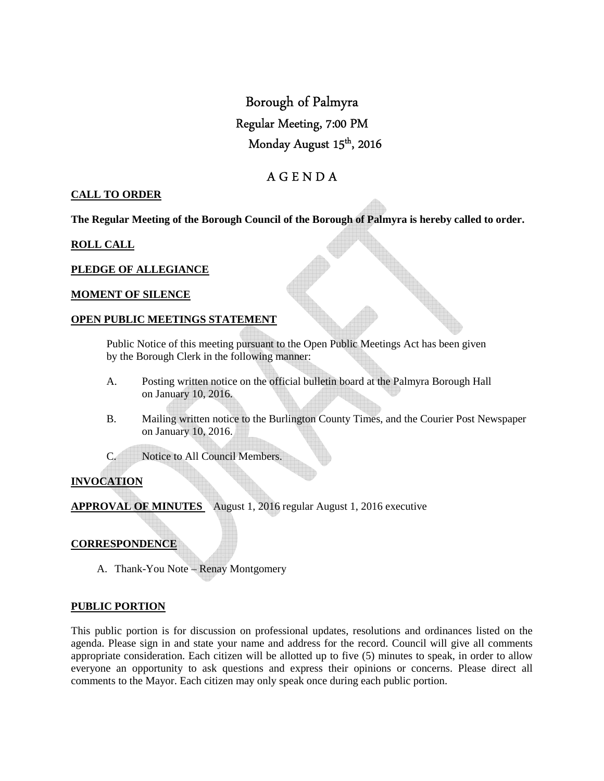# Borough of Palmyra Regular Meeting, 7:00 PM Monday August 15<sup>th</sup>, 2016

# A G E N D A

# **CALL TO ORDER**

**The Regular Meeting of the Borough Council of the Borough of Palmyra is hereby called to order.** 

# **ROLL CALL**

# **PLEDGE OF ALLEGIANCE**

#### **MOMENT OF SILENCE**

### **OPEN PUBLIC MEETINGS STATEMENT**

 Public Notice of this meeting pursuant to the Open Public Meetings Act has been given by the Borough Clerk in the following manner:

- A. Posting written notice on the official bulletin board at the Palmyra Borough Hall on January 10, 2016.
- B. Mailing written notice to the Burlington County Times, and the Courier Post Newspaper on January 10, 2016.

C. Notice to All Council Members.

# **INVOCATION**

**APPROVAL OF MINUTES** August 1, 2016 regular August 1, 2016 executive

#### **CORRESPONDENCE**

A. Thank-You Note – Renay Montgomery

# **PUBLIC PORTION**

This public portion is for discussion on professional updates, resolutions and ordinances listed on the agenda. Please sign in and state your name and address for the record. Council will give all comments appropriate consideration. Each citizen will be allotted up to five (5) minutes to speak, in order to allow everyone an opportunity to ask questions and express their opinions or concerns. Please direct all comments to the Mayor. Each citizen may only speak once during each public portion.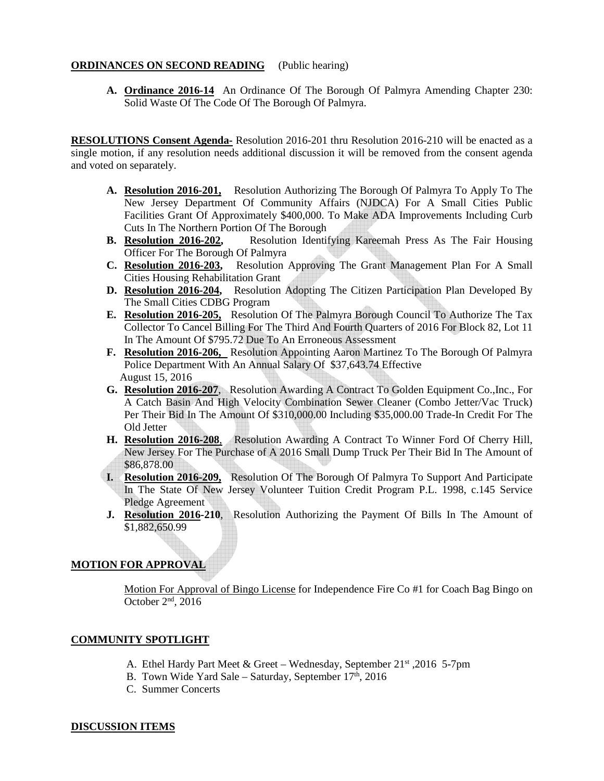### **ORDINANCES ON SECOND READING** (Public hearing)

**A. Ordinance 2016-14** An Ordinance Of The Borough Of Palmyra Amending Chapter 230: Solid Waste Of The Code Of The Borough Of Palmyra.

**RESOLUTIONS Consent Agenda-** Resolution 2016-201 thru Resolution 2016-210 will be enacted as a single motion, if any resolution needs additional discussion it will be removed from the consent agenda and voted on separately.

- **A. Resolution 2016-201,** Resolution Authorizing The Borough Of Palmyra To Apply To The New Jersey Department Of Community Affairs (NJDCA) For A Small Cities Public Facilities Grant Of Approximately \$400,000. To Make ADA Improvements Including Curb Cuts In The Northern Portion Of The Borough
- **B. Resolution 2016-202,** Resolution Identifying Kareemah Press As The Fair Housing Officer For The Borough Of Palmyra
- **C. Resolution 2016-203,** Resolution Approving The Grant Management Plan For A Small Cities Housing Rehabilitation Grant
- **D. Resolution 2016-204,** Resolution Adopting The Citizen Participation Plan Developed By The Small Cities CDBG Program
- **E. Resolution 2016-205,** Resolution Of The Palmyra Borough Council To Authorize The Tax Collector To Cancel Billing For The Third And Fourth Quarters of 2016 For Block 82, Lot 11 In The Amount Of \$795.72 Due To An Erroneous Assessment
- **F. Resolution 2016-206,** Resolution Appointing Aaron Martinez To The Borough Of Palmyra Police Department With An Annual Salary Of \$37,643.74 Effective August 15, 2016
- **G. Resolution 2016-207**, Resolution Awarding A Contract To Golden Equipment Co.,Inc., For A Catch Basin And High Velocity Combination Sewer Cleaner (Combo Jetter/Vac Truck) Per Their Bid In The Amount Of \$310,000.00 Including \$35,000.00 Trade-In Credit For The Old Jetter
- **H. Resolution 2016-208**, Resolution Awarding A Contract To Winner Ford Of Cherry Hill, New Jersey For The Purchase of A 2016 Small Dump Truck Per Their Bid In The Amount of \$86,878.00
- **I. Resolution 2016-209,** Resolution Of The Borough Of Palmyra To Support And Participate In The State Of New Jersey Volunteer Tuition Credit Program P.L. 1998, c.145 Service Pledge Agreement
- **J. Resolution 2016-210**, Resolution Authorizing the Payment Of Bills In The Amount of \$1,882,650.99

# **MOTION FOR APPROVAL**

Motion For Approval of Bingo License for Independence Fire Co #1 for Coach Bag Bingo on October 2nd, 2016

# **COMMUNITY SPOTLIGHT**

- A. Ethel Hardy Part Meet & Greet Wednesday, September 21st ,2016 5-7pm
- B. Town Wide Yard Sale Saturday, September  $17<sup>th</sup>$ , 2016
- C. Summer Concerts

#### **DISCUSSION ITEMS**